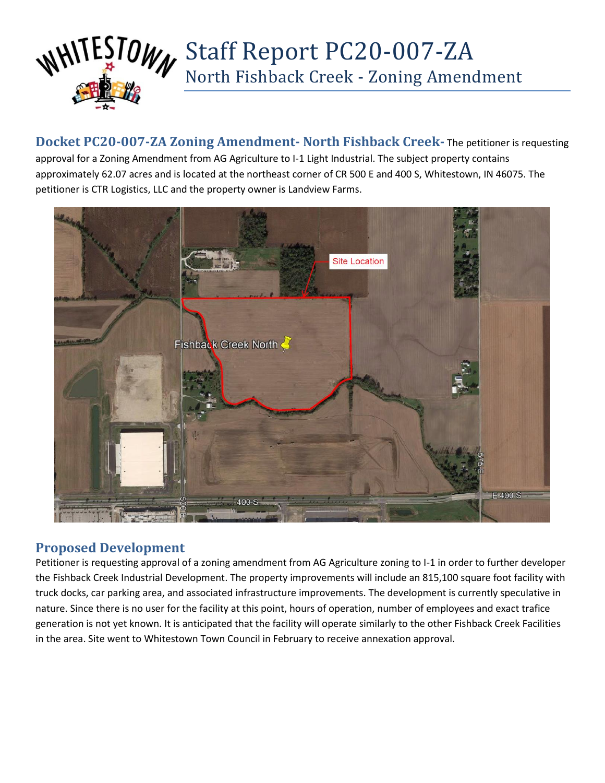

**Docket PC20-007-ZA Zoning Amendment- North Fishback Creek-** The petitioner is requesting approval for a Zoning Amendment from AG Agriculture to I-1 Light Industrial. The subject property contains approximately 62.07 acres and is located at the northeast corner of CR 500 E and 400 S, Whitestown, IN 46075. The petitioner is CTR Logistics, LLC and the property owner is Landview Farms.



### **Proposed Development**

Petitioner is requesting approval of a zoning amendment from AG Agriculture zoning to I-1 in order to further developer the Fishback Creek Industrial Development. The property improvements will include an 815,100 square foot facility with truck docks, car parking area, and associated infrastructure improvements. The development is currently speculative in nature. Since there is no user for the facility at this point, hours of operation, number of employees and exact trafice generation is not yet known. It is anticipated that the facility will operate similarly to the other Fishback Creek Facilities in the area. Site went to Whitestown Town Council in February to receive annexation approval.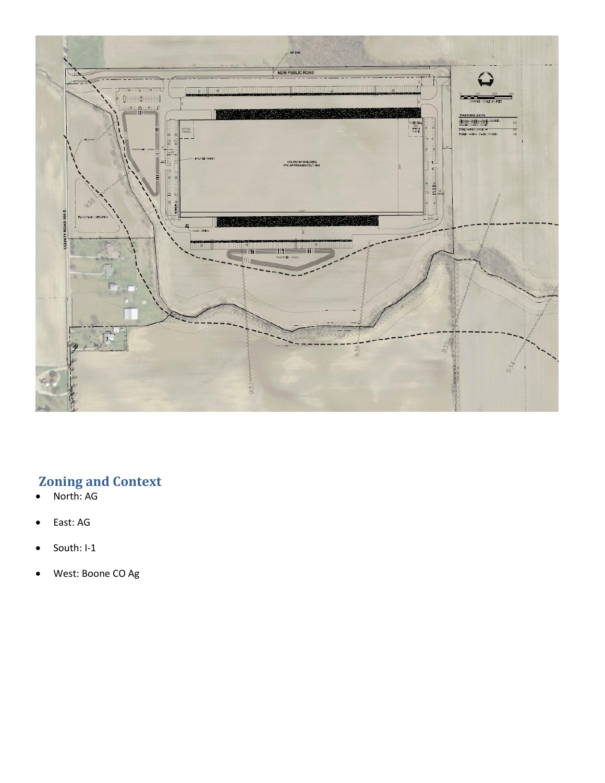

# **Zoning and Context**

- North: AG
- East: AG
- South: I-1
- West: Boone CO Ag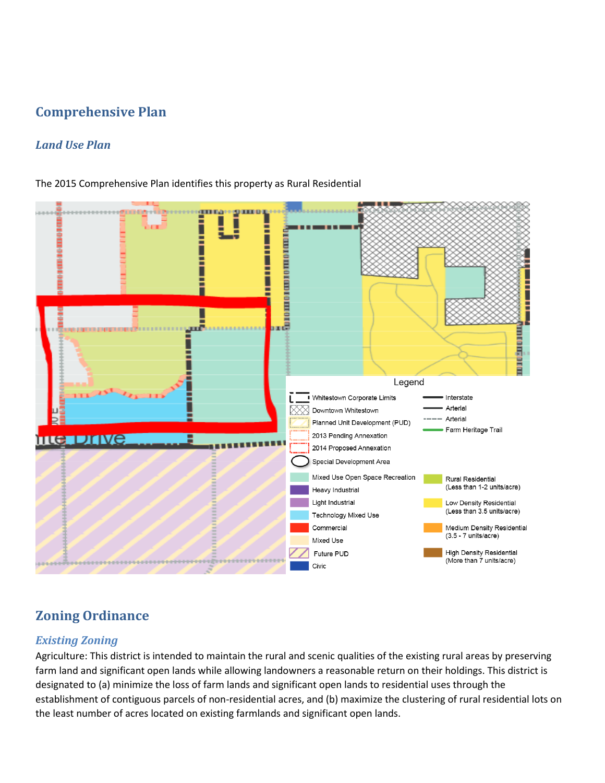## **Comprehensive Plan**

### *Land Use Plan*

The 2015 Comprehensive Plan identifies this property as Rural Residential



# **Zoning Ordinance**

#### *Existing Zoning*

Agriculture: This district is intended to maintain the rural and scenic qualities of the existing rural areas by preserving farm land and significant open lands while allowing landowners a reasonable return on their holdings. This district is designated to (a) minimize the loss of farm lands and significant open lands to residential uses through the establishment of contiguous parcels of non-residential acres, and (b) maximize the clustering of rural residential lots on the least number of acres located on existing farmlands and significant open lands.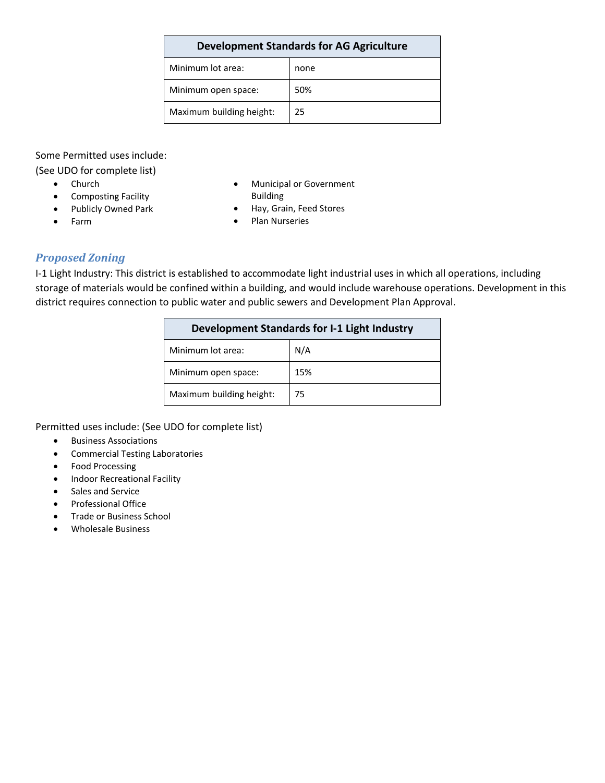| Minimum lot area:        | none |
|--------------------------|------|
| Minimum open space:      | 50%  |
| Maximum building height: | 25   |

Some Permitted uses include:

(See UDO for complete list)

- Church
- Composting Facility
- Publicly Owned Park
- Municipal or Government Building
- Hay, Grain, Feed Stores
- Plan Nurseries

#### *Proposed Zoning*

• Farm

I-1 Light Industry: This district is established to accommodate light industrial uses in which all operations, including storage of materials would be confined within a building, and would include warehouse operations. Development in this district requires connection to public water and public sewers and Development Plan Approval.

| Development Standards for I-1 Light Industry |     |
|----------------------------------------------|-----|
| Minimum lot area:                            | N/A |
| Minimum open space:                          | 15% |
| Maximum building height:                     | 75  |

Permitted uses include: (See UDO for complete list)

- Business Associations
- Commercial Testing Laboratories
- Food Processing
- Indoor Recreational Facility
- Sales and Service
- Professional Office
- Trade or Business School
- Wholesale Business